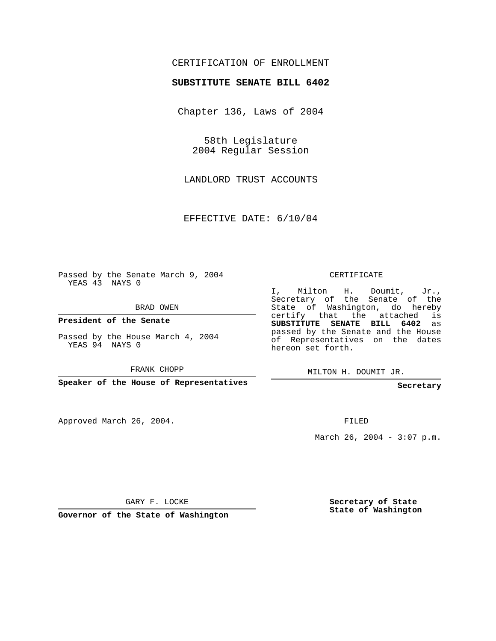## CERTIFICATION OF ENROLLMENT

## **SUBSTITUTE SENATE BILL 6402**

Chapter 136, Laws of 2004

58th Legislature 2004 Regular Session

LANDLORD TRUST ACCOUNTS

EFFECTIVE DATE: 6/10/04

Passed by the Senate March 9, 2004 YEAS 43 NAYS 0

BRAD OWEN

**President of the Senate**

Passed by the House March 4, 2004 YEAS 94 NAYS 0

FRANK CHOPP

**Speaker of the House of Representatives**

Approved March 26, 2004.

CERTIFICATE

I, Milton H. Doumit, Jr., Secretary of the Senate of the State of Washington, do hereby certify that the attached is **SUBSTITUTE SENATE BILL 6402** as passed by the Senate and the House of Representatives on the dates hereon set forth.

MILTON H. DOUMIT JR.

**Secretary**

FILED

March 26, 2004 -  $3:07$  p.m.

GARY F. LOCKE

**Governor of the State of Washington**

**Secretary of State State of Washington**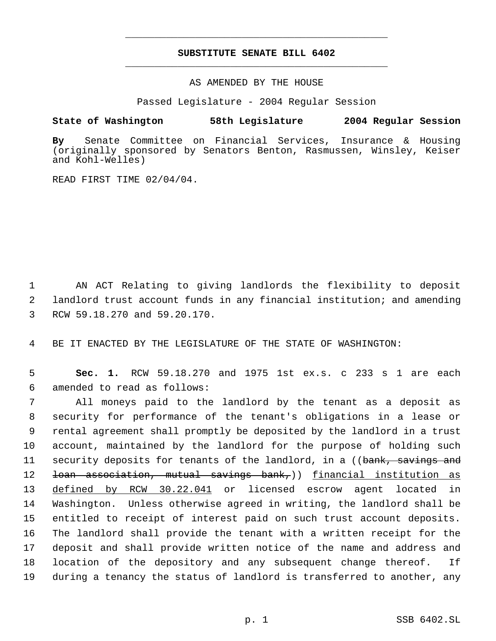## **SUBSTITUTE SENATE BILL 6402** \_\_\_\_\_\_\_\_\_\_\_\_\_\_\_\_\_\_\_\_\_\_\_\_\_\_\_\_\_\_\_\_\_\_\_\_\_\_\_\_\_\_\_\_\_

\_\_\_\_\_\_\_\_\_\_\_\_\_\_\_\_\_\_\_\_\_\_\_\_\_\_\_\_\_\_\_\_\_\_\_\_\_\_\_\_\_\_\_\_\_

AS AMENDED BY THE HOUSE

Passed Legislature - 2004 Regular Session

## **State of Washington 58th Legislature 2004 Regular Session**

**By** Senate Committee on Financial Services, Insurance & Housing (originally sponsored by Senators Benton, Rasmussen, Winsley, Keiser and Kohl-Welles)

READ FIRST TIME 02/04/04.

 1 AN ACT Relating to giving landlords the flexibility to deposit 2 landlord trust account funds in any financial institution; and amending 3 RCW 59.18.270 and 59.20.170.

4 BE IT ENACTED BY THE LEGISLATURE OF THE STATE OF WASHINGTON:

 5 **Sec. 1.** RCW 59.18.270 and 1975 1st ex.s. c 233 s 1 are each 6 amended to read as follows:

 All moneys paid to the landlord by the tenant as a deposit as security for performance of the tenant's obligations in a lease or rental agreement shall promptly be deposited by the landlord in a trust account, maintained by the landlord for the purpose of holding such 11 security deposits for tenants of the landlord, in a ((bank, savings and 12 <del>loan association, mutual savings bank,</del>)) <u>financial institution as</u> defined by RCW 30.22.041 or licensed escrow agent located in Washington. Unless otherwise agreed in writing, the landlord shall be entitled to receipt of interest paid on such trust account deposits. The landlord shall provide the tenant with a written receipt for the deposit and shall provide written notice of the name and address and location of the depository and any subsequent change thereof. If during a tenancy the status of landlord is transferred to another, any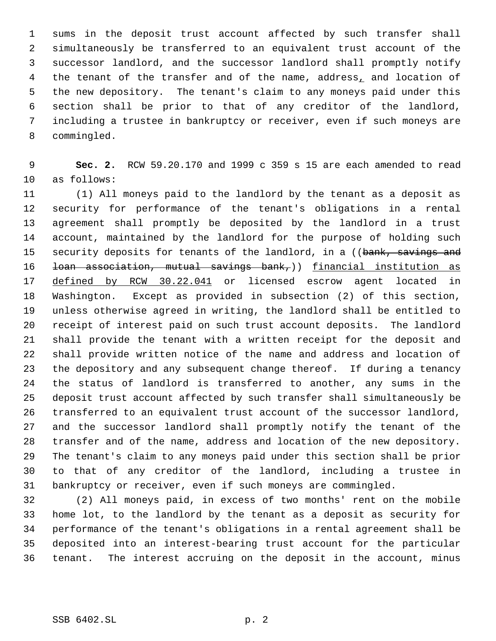sums in the deposit trust account affected by such transfer shall simultaneously be transferred to an equivalent trust account of the successor landlord, and the successor landlord shall promptly notify 4 the tenant of the transfer and of the name, address, and location of the new depository. The tenant's claim to any moneys paid under this section shall be prior to that of any creditor of the landlord, including a trustee in bankruptcy or receiver, even if such moneys are commingled.

 **Sec. 2.** RCW 59.20.170 and 1999 c 359 s 15 are each amended to read as follows:

 (1) All moneys paid to the landlord by the tenant as a deposit as security for performance of the tenant's obligations in a rental agreement shall promptly be deposited by the landlord in a trust account, maintained by the landlord for the purpose of holding such 15 security deposits for tenants of the landlord, in a ((bank, savings and 16 <del>loan association, mutual savings bank,</del>)) financial institution as defined by RCW 30.22.041 or licensed escrow agent located in Washington. Except as provided in subsection (2) of this section, unless otherwise agreed in writing, the landlord shall be entitled to receipt of interest paid on such trust account deposits. The landlord shall provide the tenant with a written receipt for the deposit and shall provide written notice of the name and address and location of the depository and any subsequent change thereof. If during a tenancy the status of landlord is transferred to another, any sums in the deposit trust account affected by such transfer shall simultaneously be transferred to an equivalent trust account of the successor landlord, and the successor landlord shall promptly notify the tenant of the transfer and of the name, address and location of the new depository. The tenant's claim to any moneys paid under this section shall be prior to that of any creditor of the landlord, including a trustee in bankruptcy or receiver, even if such moneys are commingled.

 (2) All moneys paid, in excess of two months' rent on the mobile home lot, to the landlord by the tenant as a deposit as security for performance of the tenant's obligations in a rental agreement shall be deposited into an interest-bearing trust account for the particular tenant. The interest accruing on the deposit in the account, minus